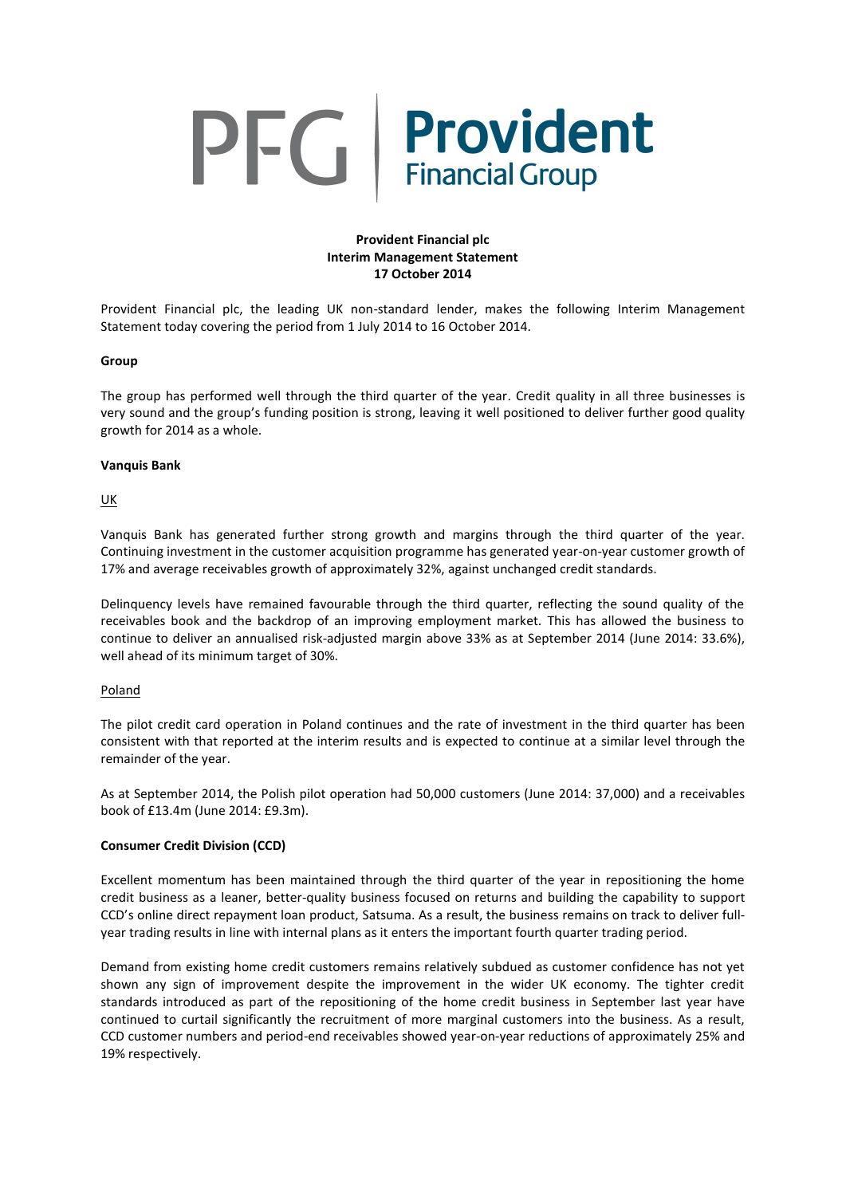# PFG Provident

# **Provident Financial plc Interim Management Statement 17 October 2014**

Provident Financial plc, the leading UK non-standard lender, makes the following Interim Management Statement today covering the period from 1 July 2014 to 16 October 2014.

## **Group**

The group has performed well through the third quarter of the year. Credit quality in all three businesses is very sound and the group's funding position is strong, leaving it well positioned to deliver further good quality growth for 2014 as a whole.

## **Vanquis Bank**

UK

Vanquis Bank has generated further strong growth and margins through the third quarter of the year. Continuing investment in the customer acquisition programme has generated year-on-year customer growth of 17% and average receivables growth of approximately 32%, against unchanged credit standards.

Delinquency levels have remained favourable through the third quarter, reflecting the sound quality of the receivables book and the backdrop of an improving employment market. This has allowed the business to continue to deliver an annualised risk-adjusted margin above 33% as at September 2014 (June 2014: 33.6%), well ahead of its minimum target of 30%.

#### Poland

The pilot credit card operation in Poland continues and the rate of investment in the third quarter has been consistent with that reported at the interim results and is expected to continue at a similar level through the remainder of the year.

As at September 2014, the Polish pilot operation had 50,000 customers (June 2014: 37,000) and a receivables book of £13.4m (June 2014: £9.3m).

## **Consumer Credit Division (CCD)**

Excellent momentum has been maintained through the third quarter of the year in repositioning the home credit business as a leaner, better-quality business focused on returns and building the capability to support CCD's online direct repayment loan product, Satsuma. As a result, the business remains on track to deliver fullyear trading results in line with internal plans as it enters the important fourth quarter trading period.

Demand from existing home credit customers remains relatively subdued as customer confidence has not yet shown any sign of improvement despite the improvement in the wider UK economy. The tighter credit standards introduced as part of the repositioning of the home credit business in September last year have continued to curtail significantly the recruitment of more marginal customers into the business. As a result, CCD customer numbers and period-end receivables showed year-on-year reductions of approximately 25% and 19% respectively.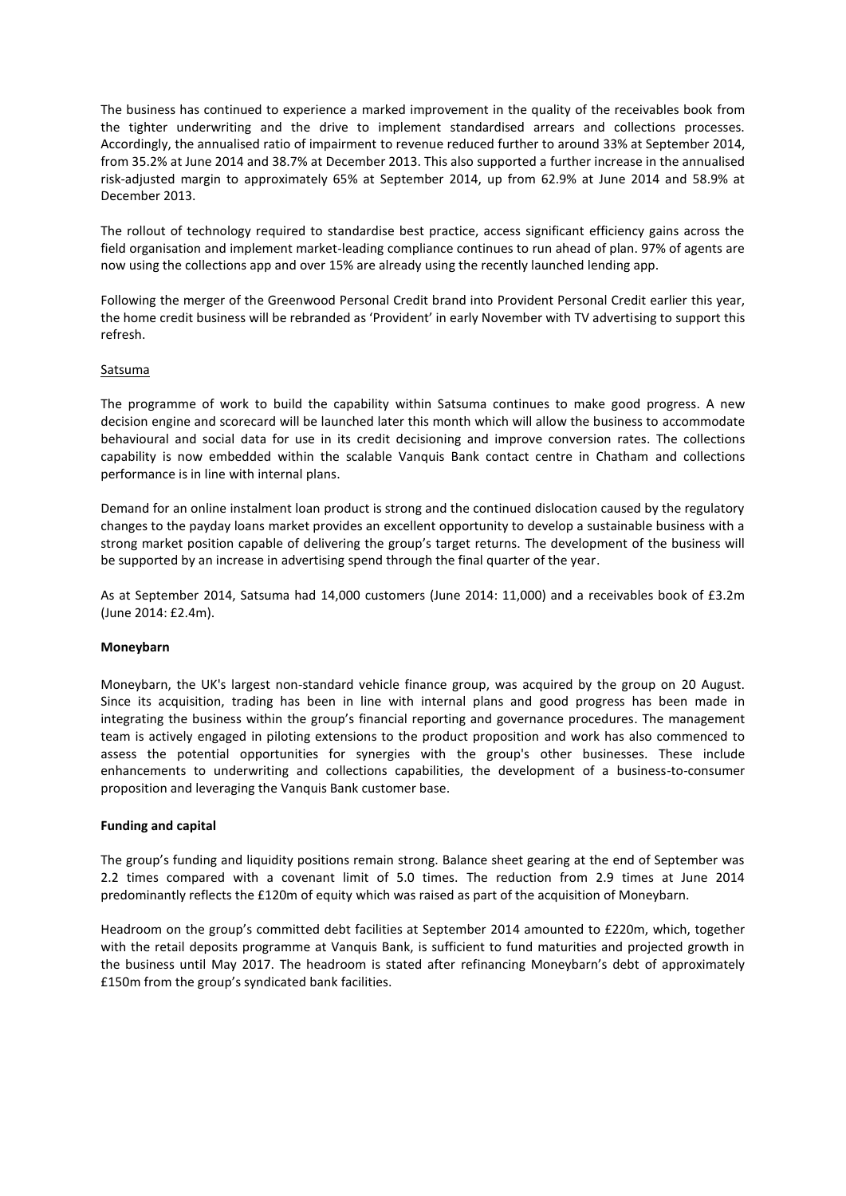The business has continued to experience a marked improvement in the quality of the receivables book from the tighter underwriting and the drive to implement standardised arrears and collections processes. Accordingly, the annualised ratio of impairment to revenue reduced further to around 33% at September 2014, from 35.2% at June 2014 and 38.7% at December 2013. This also supported a further increase in the annualised risk-adjusted margin to approximately 65% at September 2014, up from 62.9% at June 2014 and 58.9% at December 2013.

The rollout of technology required to standardise best practice, access significant efficiency gains across the field organisation and implement market-leading compliance continues to run ahead of plan. 97% of agents are now using the collections app and over 15% are already using the recently launched lending app.

Following the merger of the Greenwood Personal Credit brand into Provident Personal Credit earlier this year, the home credit business will be rebranded as 'Provident' in early November with TV advertising to support this refresh.

## Satsuma

The programme of work to build the capability within Satsuma continues to make good progress. A new decision engine and scorecard will be launched later this month which will allow the business to accommodate behavioural and social data for use in its credit decisioning and improve conversion rates. The collections capability is now embedded within the scalable Vanquis Bank contact centre in Chatham and collections performance is in line with internal plans.

Demand for an online instalment loan product is strong and the continued dislocation caused by the regulatory changes to the payday loans market provides an excellent opportunity to develop a sustainable business with a strong market position capable of delivering the group's target returns. The development of the business will be supported by an increase in advertising spend through the final quarter of the year.

As at September 2014, Satsuma had 14,000 customers (June 2014: 11,000) and a receivables book of £3.2m (June 2014: £2.4m).

#### **Moneybarn**

Moneybarn, the UK's largest non-standard vehicle finance group, was acquired by the group on 20 August. Since its acquisition, trading has been in line with internal plans and good progress has been made in integrating the business within the group's financial reporting and governance procedures. The management team is actively engaged in piloting extensions to the product proposition and work has also commenced to assess the potential opportunities for synergies with the group's other businesses. These include enhancements to underwriting and collections capabilities, the development of a business-to-consumer proposition and leveraging the Vanquis Bank customer base.

#### **Funding and capital**

The group's funding and liquidity positions remain strong. Balance sheet gearing at the end of September was 2.2 times compared with a covenant limit of 5.0 times. The reduction from 2.9 times at June 2014 predominantly reflects the £120m of equity which was raised as part of the acquisition of Moneybarn.

Headroom on the group's committed debt facilities at September 2014 amounted to £220m, which, together with the retail deposits programme at Vanquis Bank, is sufficient to fund maturities and projected growth in the business until May 2017. The headroom is stated after refinancing Moneybarn's debt of approximately £150m from the group's syndicated bank facilities.